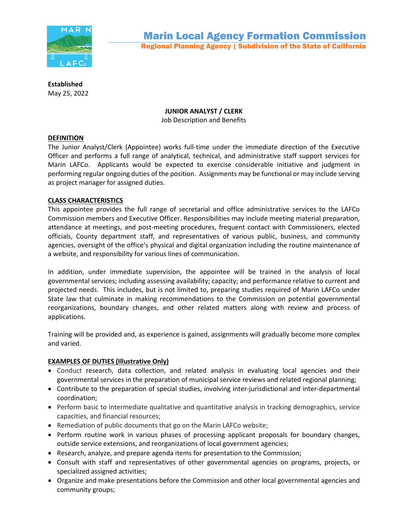

**Established** May 25, 2022

# **JUNIOR ANALYST / CLERK**

Job Description and Benefits

## **DEFINITION**

The Junior Analyst/Clerk (Appointee) works full-time under the immediate direction of the Executive Officer and performs a full range of analytical, technical, and administrative staff support services for Marin LAFCo. Applicants would be expected to exercise considerable initiative and judgment in performing regular ongoing duties of the position. Assignments may be functional or may include serving as project manager for assigned duties.

## **CLASS CHARACTERISTICS**

This appointee provides the full range of secretarial and office administrative services to the LAFCo Commission members and Executive Officer. Responsibilities may include meeting material preparation, attendance at meetings, and post-meeting procedures, frequent contact with Commissioners, elected officials, County department staff, and representatives of various public, business, and community agencies, oversight of the office's physical and digital organization including the routine maintenance of a website, and responsibility for various lines of communication.

In addition, under immediate supervision, the appointee will be trained in the analysis of local governmental services; including assessing availability; capacity; and performance relative to current and projected needs. This includes, but is not limited to, preparing studies required of Marin LAFCo under State law that culminate in making recommendations to the Commission on potential governmental reorganizations, boundary changes, and other related matters along with review and process of applications.

Training will be provided and, as experience is gained, assignments will gradually become more complex and varied.

# **EXAMPLES OF DUTIES (Illustrative Only)**

- Conduct research, data collection, and related analysis in evaluating local agencies and their governmental services in the preparation of municipal service reviews and related regional planning;
- Contribute to the preparation of special studies, involving inter-jurisdictional and inter-departmental coordination;
- Perform basic to intermediate qualitative and quantitative analysis in tracking demographics, service capacities, and financial resources;
- Remediation of public documents that go on the Marin LAFCo website;
- Perform routine work in various phases of processing applicant proposals for boundary changes, outside service extensions, and reorganizations of local government agencies;
- Research, analyze, and prepare agenda items for presentation to the Commission;
- Consult with staff and representatives of other governmental agencies on programs, projects, or specialized assigned activities;
- Organize and make presentations before the Commission and other local governmental agencies and community groups;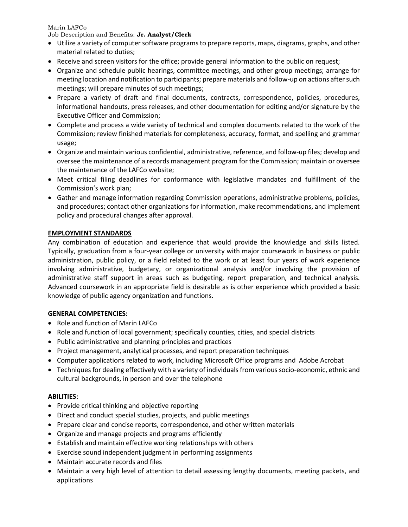Marin LAFCo

Job Description and Benefits: **Jr. Analyst/Clerk**

- Utilize a variety of computer software programs to prepare reports, maps, diagrams, graphs, and other material related to duties;
- Receive and screen visitors for the office; provide general information to the public on request;
- Organize and schedule public hearings, committee meetings, and other group meetings; arrange for meeting location and notification to participants; prepare materials and follow-up on actions after such meetings; will prepare minutes of such meetings;
- Prepare a variety of draft and final documents, contracts, correspondence, policies, procedures, informational handouts, press releases, and other documentation for editing and/or signature by the Executive Officer and Commission;
- Complete and process a wide variety of technical and complex documents related to the work of the Commission; review finished materials for completeness, accuracy, format, and spelling and grammar usage;
- Organize and maintain various confidential, administrative, reference, and follow-up files; develop and oversee the maintenance of a records management program for the Commission; maintain or oversee the maintenance of the LAFCo website;
- Meet critical filing deadlines for conformance with legislative mandates and fulfillment of the Commission's work plan;
- Gather and manage information regarding Commission operations, administrative problems, policies, and procedures; contact other organizations for information, make recommendations, and implement policy and procedural changes after approval.

### **EMPLOYMENT STANDARDS**

Any combination of education and experience that would provide the knowledge and skills listed. Typically, graduation from a four-year college or university with major coursework in business or public administration, public policy, or a field related to the work or at least four years of work experience involving administrative, budgetary, or organizational analysis and/or involving the provision of administrative staff support in areas such as budgeting, report preparation, and technical analysis. Advanced coursework in an appropriate field is desirable as is other experience which provided a basic knowledge of public agency organization and functions.

### **GENERAL COMPETENCIES:**

- Role and function of Marin LAFCo
- Role and function of local government; specifically counties, cities, and special districts
- Public administrative and planning principles and practices
- Project management, analytical processes, and report preparation techniques
- Computer applications related to work, including Microsoft Office programs and Adobe Acrobat
- Techniques for dealing effectively with a variety of individuals from various socio-economic, ethnic and cultural backgrounds, in person and over the telephone

### **ABILITIES:**

- Provide critical thinking and objective reporting
- Direct and conduct special studies, projects, and public meetings
- Prepare clear and concise reports, correspondence, and other written materials
- Organize and manage projects and programs efficiently
- Establish and maintain effective working relationships with others
- Exercise sound independent judgment in performing assignments
- Maintain accurate records and files
- Maintain a very high level of attention to detail assessing lengthy documents, meeting packets, and applications